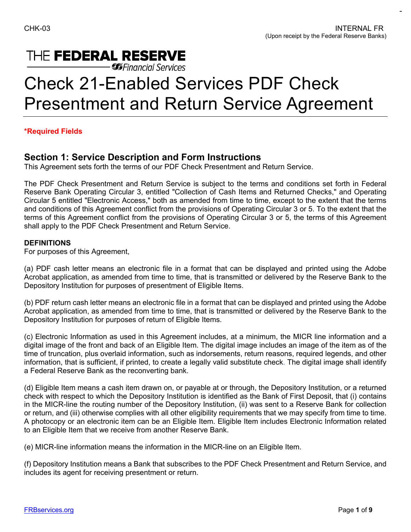## THE FEDERAL RESERVE

**Gifinancial Services** 

# Check 21-Enabled Services PDF Check Presentment and Return Service Agreement

#### **\*Required Fields**

### **Section 1: Service Description and Form Instructions**

This Agreement sets forth the terms of our PDF Check Presentment and Return Service.

 Circular 5 entitled "Electronic Access," both as amended from time to time, except to the extent that the terms The PDF Check Presentment and Return Service is subject to the terms and conditions set forth in Federal Reserve Bank Operating Circular 3, entitled "Collection of Cash Items and Returned Checks," and Operating and conditions of this Agreement conflict from the provisions of Operating Circular 3 or 5. To the extent that the terms of this Agreement conflict from the provisions of Operating Circular 3 or 5, the terms of this Agreement shall apply to the PDF Check Presentment and Return Service.

#### **DEFINITIONS**

For purposes of this Agreement,

(a) PDF cash letter means an electronic file in a format that can be displayed and printed using the Adobe Acrobat application, as amended from time to time, that is transmitted or delivered by the Reserve Bank to the Depository Institution for purposes of presentment of Eligible Items.

 (b) PDF return cash letter means an electronic file in a format that can be displayed and printed using the Adobe Acrobat application, as amended from time to time, that is transmitted or delivered by the Reserve Bank to the Depository Institution for purposes of return of Eligible Items.

(c) Electronic Information as used in this Agreement includes, at a minimum, the MICR line information and a digital image of the front and back of an Eligible Item. The digital image includes an image of the item as of the time of truncation, plus overlaid information, such as indorsements, return reasons, required legends, and other information, that is sufficient, if printed, to create a legally valid substitute check. The digital image shall identify a Federal Reserve Bank as the reconverting bank.

 check with respect to which the Depository Institution is identified as the Bank of First Deposit, that (i) contains in the MICR-line the routing number of the Depository Institution, (ii) was sent to a Reserve Bank for collection (d) Eligible Item means a cash item drawn on, or payable at or through, the Depository Institution, or a returned or return, and (iii) otherwise complies with all other eligibility requirements that we may specify from time to time. A photocopy or an electronic item can be an Eligible Item. Eligible Item includes Electronic Information related to an Eligible Item that we receive from another Reserve Bank.

(e) MICR-line information means the information in the MICR-line on an Eligible Item.

 includes its agent for receiving presentment or return. (f) Depository Institution means a Bank that subscribes to the PDF Check Presentment and Return Service, and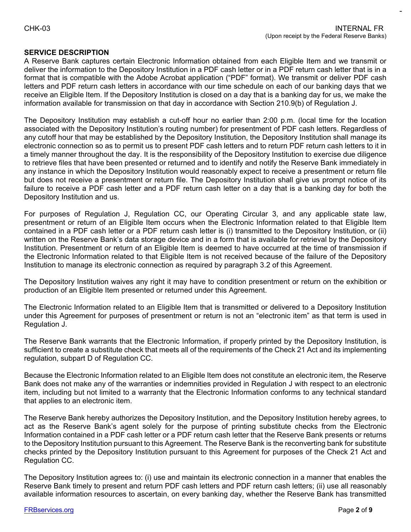#### **SERVICE DESCRIPTION**

 format that is compatible with the Adobe Acrobat application ("PDF" format). We transmit or deliver PDF cash letters and PDF return cash letters in accordance with our time schedule on each of our banking days that we receive an Eligible Item. If the Depository Institution is closed on a day that is a banking day for us, we make the A Reserve Bank captures certain Electronic Information obtained from each Eligible Item and we transmit or deliver the information to the Depository Institution in a PDF cash letter or in a PDF return cash letter that is in a information available for transmission on that day in accordance with Section 210.9(b) of Regulation J.

 electronic connection so as to permit us to present PDF cash letters and to return PDF return cash letters to it in The Depository Institution may establish a cut-off hour no earlier than 2:00 p.m. (local time for the location associated with the Depository Institution's routing number) for presentment of PDF cash letters. Regardless of any cutoff hour that may be established by the Depository Institution, the Depository Institution shall manage its a timely manner throughout the day. It is the responsibility of the Depository Institution to exercise due diligence to retrieve files that have been presented or returned and to identify and notify the Reserve Bank immediately in any instance in which the Depository Institution would reasonably expect to receive a presentment or return file but does not receive a presentment or return file. The Depository Institution shall give us prompt notice of its failure to receive a PDF cash letter and a PDF return cash letter on a day that is a banking day for both the Depository Institution and us.

 presentment or return of an Eligible Item occurs when the Electronic Information related to that Eligible Item Institution. Presentment or return of an Eligible Item is deemed to have occurred at the time of transmission if For purposes of Regulation J, Regulation CC, our Operating Circular 3, and any applicable state law, contained in a PDF cash letter or a PDF return cash letter is (i) transmitted to the Depository Institution, or (ii) written on the Reserve Bank's data storage device and in a form that is available for retrieval by the Depository the Electronic Information related to that Eligible Item is not received because of the failure of the Depository Institution to manage its electronic connection as required by paragraph 3.2 of this Agreement.

 The Depository Institution waives any right it may have to condition presentment or return on the exhibition or production of an Eligible Item presented or returned under this Agreement.

The Electronic Information related to an Eligible Item that is transmitted or delivered to a Depository Institution under this Agreement for purposes of presentment or return is not an "electronic item" as that term is used in Regulation J.

 sufficient to create a substitute check that meets all of the requirements of the Check 21 Act and its implementing The Reserve Bank warrants that the Electronic Information, if properly printed by the Depository Institution, is regulation, subpart D of Regulation CC.

Because the Electronic Information related to an Eligible Item does not constitute an electronic item, the Reserve Bank does not make any of the warranties or indemnities provided in Regulation J with respect to an electronic item, including but not limited to a warranty that the Electronic Information conforms to any technical standard that applies to an electronic item.

 act as the Reserve Bank's agent solely for the purpose of printing substitute checks from the Electronic Information contained in a PDF cash letter or a PDF return cash letter that the Reserve Bank presents or returns checks printed by the Depository Institution pursuant to this Agreement for purposes of the Check 21 Act and The Reserve Bank hereby authorizes the Depository Institution, and the Depository Institution hereby agrees, to to the Depository Institution pursuant to this Agreement. The Reserve Bank is the reconverting bank for substitute Regulation CC.

 The Depository Institution agrees to: (i) use and maintain its electronic connection in a manner that enables the available information resources to ascertain, on every banking day, whether the Reserve Bank has transmitted Reserve Bank timely to present and return PDF cash letters and PDF return cash letters; (ii) use all reasonably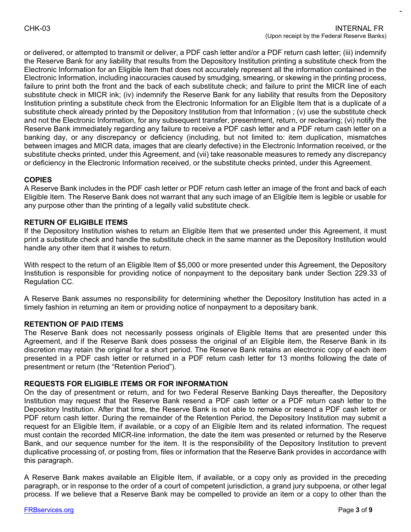substitute check in MICR ink; (iv) indemnify the Reserve Bank for any liability that results from the Depository and not the Electronic Information, for any subsequent transfer, presentment, return, or reclearing; (vi) notify the between images and MICR data, images that are clearly defective) in the Electronic Information received, or the or delivered, or attempted to transmit or deliver, a PDF cash letter and/or a PDF return cash letter; (iii) indemnify the Reserve Bank for any liability that results from the Depository Institution printing a substitute check from the Electronic Information for an Eligible Item that does not accurately represent all the information contained in the Electronic Information, including inaccuracies caused by smudging, smearing, or skewing in the printing process, failure to print both the front and the back of each substitute check; and failure to print the MICR line of each Institution printing a substitute check from the Electronic Information for an Eligible Item that is a duplicate of a substitute check already printed by the Depository Institution from that Information ; (v) use the substitute check Reserve Bank immediately regarding any failure to receive a PDF cash letter and a PDF return cash letter on a banking day, or any discrepancy or deficiency (including, but not limited to: item duplication, mismatches substitute checks printed, under this Agreement, and (vii) take reasonable measures to remedy any discrepancy or deficiency in the Electronic Information received, or the substitute checks printed, under this Agreement.

#### **COPIES**

 A Reserve Bank includes in the PDF cash letter or PDF return cash letter an image of the front and back of each Eligible Item. The Reserve Bank does not warrant that any such image of an Eligible Item is legible or usable for any purpose other than the printing of a legally valid substitute check.

#### **RETURN OF ELIGIBLE ITEMS**

If the Depository Institution wishes to return an Eligible Item that we presented under this Agreement, it must print a substitute check and handle the substitute check in the same manner as the Depository Institution would handle any other item that it wishes to return.

With respect to the return of an Eligible Item of \$5,000 or more presented under this Agreement, the Depository Institution is responsible for providing notice of nonpayment to the depositary bank under Section 229.33 of Regulation CC.

 A Reserve Bank assumes no responsibility for determining whether the Depository Institution has acted in a timely fashion in returning an item or providing notice of nonpayment to a depositary bank.

#### **RETENTION OF PAID ITEMS**

The Reserve Bank does not necessarily possess originals of Eligible Items that are presented under this Agreement, and if the Reserve Bank does possess the original of an Eligible item, the Reserve Bank in its discretion may retain the original for a short period. The Reserve Bank retains an electronic copy of each item presented in a PDF cash letter or returned in a PDF return cash letter for 13 months following the date of presentment or return (the "Retention Period").

#### **REQUESTS FOR ELIGIBLE ITEMS OR FOR INFORMATION**

 Depository Institution. After that time, the Reserve Bank is not able to remake or resend a PDF cash letter or Bank, and our sequence number for the item. It is the responsibility of the Depository Institution to prevent duplicative processing of, or posting from, files or information that the Reserve Bank provides in accordance with On the day of presentment or return, and for two Federal Reserve Banking Days thereafter, the Depository Institution may request that the Reserve Bank resend a PDF cash letter or a PDF return cash letter to the PDF return cash letter. During the remainder of the Retention Period, the Depository Institution may submit a request for an Eligible Item, if available, or a copy of an Eligible Item and its related information. The request must contain the recorded MICR-line information, the date the item was presented or returned by the Reserve this paragraph.

A Reserve Bank makes available an Eligible Item, if available, or a copy only as provided in the preceding paragraph, or in response to the order of a court of competent jurisdiction, a grand jury subpoena, or other legal process. If we believe that a Reserve Bank may be compelled to provide an item or a copy to other than the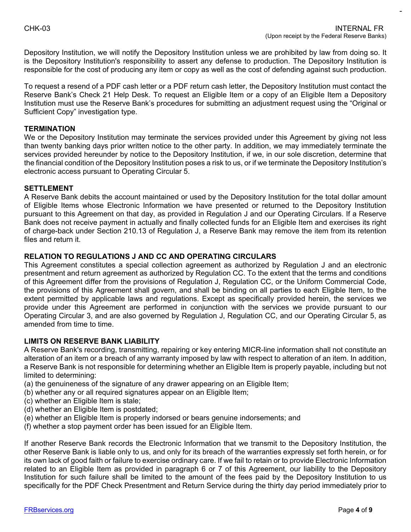Depository Institution, we will notify the Depository Institution unless we are prohibited by law from doing so. It is the Depository Institution's responsibility to assert any defense to production. The Depository Institution is responsible for the cost of producing any item or copy as well as the cost of defending against such production.

To request a resend of a PDF cash letter or a PDF return cash letter, the Depository Institution must contact the Reserve Bank's Check 21 Help Desk. To request an Eligible Item or a copy of an Eligible Item a Depository Institution must use the Reserve Bank's procedures for submitting an adjustment request using the "Original or Sufficient Copy" investigation type.

#### **TERMINATION**

 services provided hereunder by notice to the Depository Institution, if we, in our sole discretion, determine that We or the Depository Institution may terminate the services provided under this Agreement by giving not less than twenty banking days prior written notice to the other party. In addition, we may immediately terminate the the financial condition of the Depository Institution poses a risk to us, or if we terminate the Depository Institution's electronic access pursuant to Operating Circular 5.

#### **SETTLEMENT**

 of Eligible Items whose Electronic Information we have presented or returned to the Depository Institution of charge-back under Section 210.13 of Regulation J, a Reserve Bank may remove the item from its retention A Reserve Bank debits the account maintained or used by the Depository Institution for the total dollar amount pursuant to this Agreement on that day, as provided in Regulation J and our Operating Circulars. If a Reserve Bank does not receive payment in actually and finally collected funds for an Eligible Item and exercises its right files and return it.

#### **RELATION TO REGULATIONS J AND CC AND OPERATING CIRCULARS**

 This Agreement constitutes a special collection agreement as authorized by Regulation J and an electronic Operating Circular 3, and are also governed by Regulation J, Regulation CC, and our Operating Circular 5, as presentment and return agreement as authorized by Regulation CC. To the extent that the terms and conditions of this Agreement differ from the provisions of Regulation J, Regulation CC, or the Uniform Commercial Code, the provisions of this Agreement shall govern, and shall be binding on all parties to each Eligible Item, to the extent permitted by applicable laws and regulations. Except as specifically provided herein, the services we provide under this Agreement are performed in conjunction with the services we provide pursuant to our amended from time to time.

#### **LIMITS ON RESERVE BANK LIABILITY**

 A Reserve Bank's recording, transmitting, repairing or key entering MICR-line information shall not constitute an alteration of an item or a breach of any warranty imposed by law with respect to alteration of an item. In addition, a Reserve Bank is not responsible for determining whether an Eligible Item is properly payable, including but not limited to determining:

- (a) the genuineness of the signature of any drawer appearing on an Eligible Item;
- (b) whether any or all required signatures appear on an Eligible Item;
- (c) whether an Eligible Item is stale;
- (d) whether an Eligible Item is postdated;
- (e) whether an Eligible Item is properly indorsed or bears genuine indorsements; and
- (f) whether a stop payment order has been issued for an Eligible Item.

 other Reserve Bank is liable only to us, and only for its breach of the warranties expressly set forth herein, or for If another Reserve Bank records the Electronic Information that we transmit to the Depository Institution, the its own lack of good faith or failure to exercise ordinary care. If we fail to retain or to provide Electronic Information related to an Eligible Item as provided in paragraph 6 or 7 of this Agreement, our liability to the Depository Institution for such failure shall be limited to the amount of the fees paid by the Depository Institution to us specifically for the PDF Check Presentment and Return Service during the thirty day period immediately prior to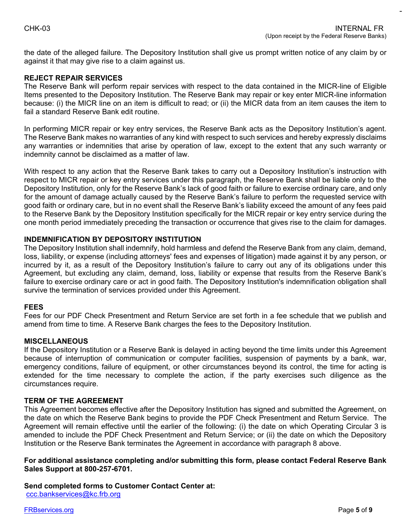the date of the alleged failure. The Depository Institution shall give us prompt written notice of any claim by or against it that may give rise to a claim against us.

#### **REJECT REPAIR SERVICES**

 because: (i) the MICR line on an item is difficult to read; or (ii) the MICR data from an item causes the item to The Reserve Bank will perform repair services with respect to the data contained in the MICR-line of Eligible Items presented to the Depository Institution. The Reserve Bank may repair or key enter MICR-line information fail a standard Reserve Bank edit routine.

 The Reserve Bank makes no warranties of any kind with respect to such services and hereby expressly disclaims In performing MICR repair or key entry services, the Reserve Bank acts as the Depository Institution's agent. any warranties or indemnities that arise by operation of law, except to the extent that any such warranty or indemnity cannot be disclaimed as a matter of law.

With respect to any action that the Reserve Bank takes to carry out a Depository Institution's instruction with respect to MICR repair or key entry services under this paragraph, the Reserve Bank shall be liable only to the Depository Institution, only for the Reserve Bank's lack of good faith or failure to exercise ordinary care, and only for the amount of damage actually caused by the Reserve Bank's failure to perform the requested service with good faith or ordinary care, but in no event shall the Reserve Bank's liability exceed the amount of any fees paid to the Reserve Bank by the Depository Institution specifically for the MICR repair or key entry service during the one month period immediately preceding the transaction or occurrence that gives rise to the claim for damages.

#### **INDEMNIFICATION BY DEPOSITORY INSTITUTION**

 Agreement, but excluding any claim, demand, loss, liability or expense that results from the Reserve Bank's The Depository Institution shall indemnify, hold harmless and defend the Reserve Bank from any claim, demand, loss, liability, or expense (including attorneys' fees and expenses of litigation) made against it by any person, or incurred by it, as a result of the Depository Institution's failure to carry out any of its obligations under this failure to exercise ordinary care or act in good faith. The Depository Institution's indemnification obligation shall survive the termination of services provided under this Agreement.

#### **FEES**

Fees for our PDF Check Presentment and Return Service are set forth in a fee schedule that we publish and amend from time to time. A Reserve Bank charges the fees to the Depository Institution.

#### **MISCELLANEOUS**

 emergency conditions, failure of equipment, or other circumstances beyond its control, the time for acting is If the Depository Institution or a Reserve Bank is delayed in acting beyond the time limits under this Agreement because of interruption of communication or computer facilities, suspension of payments by a bank, war, extended for the time necessary to complete the action, if the party exercises such diligence as the circumstances require.

#### **TERM OF THE AGREEMENT**

 the date on which the Reserve Bank begins to provide the PDF Check Presentment and Return Service. The Agreement will remain effective until the earlier of the following: (i) the date on which Operating Circular 3 is This Agreement becomes effective after the Depository Institution has signed and submitted the Agreement, on amended to include the PDF Check Presentment and Return Service; or (ii) the date on which the Depository Institution or the Reserve Bank terminates the Agreement in accordance with paragraph 8 above.

#### **For additional assistance completing and/or submitting this form, please contact Federal Reserve Bank Sales Support at 800-257-6701.**

 **Send completed forms to Customer Contact Center at:**  [ccc.bankservices@kc.frb.org](mailto:ccc.bankservices@kc.frb.org)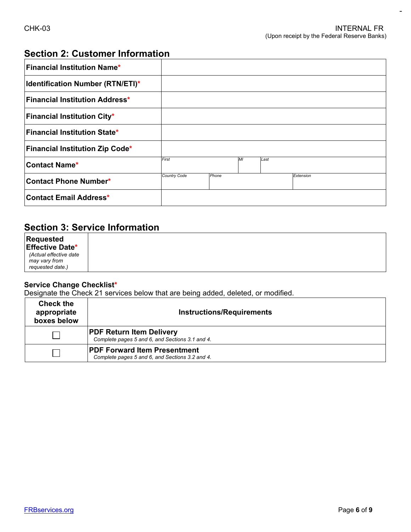-

## **Section 2: Customer Information**

| <b>Financial Institution Name*</b>            |              |       |    |      |           |
|-----------------------------------------------|--------------|-------|----|------|-----------|
| <b>Identification Number (RTN/ETI)*</b>       |              |       |    |      |           |
| $\sf F$ inancial Institution Address $^\star$ |              |       |    |      |           |
| <b>Financial Institution City*</b>            |              |       |    |      |           |
| <b>Financial Institution State*</b>           |              |       |    |      |           |
| <b>Financial Institution Zip Code*</b>        |              |       |    |      |           |
| <b>Contact Name*</b>                          | First        |       | MI | Last |           |
| <b>Contact Phone Number*</b>                  | Country Code | Phone |    |      | Extension |
| <b>Contact Email Address*</b>                 |              |       |    |      |           |

## **Section 3: Service Information**

*may* vary from **Requested Effective Date\*** *(Actual effective date may vary from requested date.)* 

#### **Service Change Checklist\***

Designate the Check 21 services below that are being added, deleted, or modified.

| <b>Check the</b><br>appropriate<br>boxes below | <b>Instructions/Requirements</b>                                                       |
|------------------------------------------------|----------------------------------------------------------------------------------------|
|                                                | <b>PDF Return Item Delivery</b><br>Complete pages 5 and 6, and Sections 3.1 and 4.     |
|                                                | <b>PDF Forward Item Presentment</b><br>Complete pages 5 and 6, and Sections 3.2 and 4. |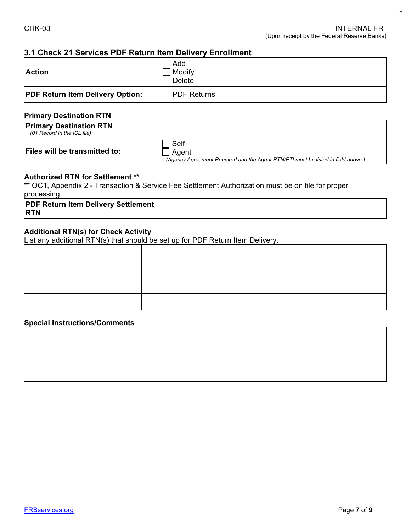#### **3.1 Check 21 Services PDF Return Item Delivery Enrollment**

| <b>Action</b>                           | Add<br>Modify<br>Delete |
|-----------------------------------------|-------------------------|
| <b>PDF Return Item Delivery Option:</b> | <b>PDF Returns</b>      |

#### **Primary Destination RTN**

| <b>Primary Destination RTN</b><br>(01 Record in the ICL file) |                                                                                                   |
|---------------------------------------------------------------|---------------------------------------------------------------------------------------------------|
| <b>Files will be transmitted to:</b>                          | Self<br>Agent<br>(Agency Agreement Required and the Agent RTN/ETI must be listed in field above.) |

#### **Authorized RTN for Settlement \*\***

\*\* OC1, Appendix 2 - Transaction & Service Fee Settlement Authorization must be on file for proper processing.

| <b>PDF Return Item Delivery Settlement</b><br><b>RTN</b> |  |
|----------------------------------------------------------|--|
|----------------------------------------------------------|--|

#### **Additional RTN(s) for Check Activity**

List any additional RTN(s) that should be set up for PDF Return Item Delivery.

#### **Special Instructions/Comments**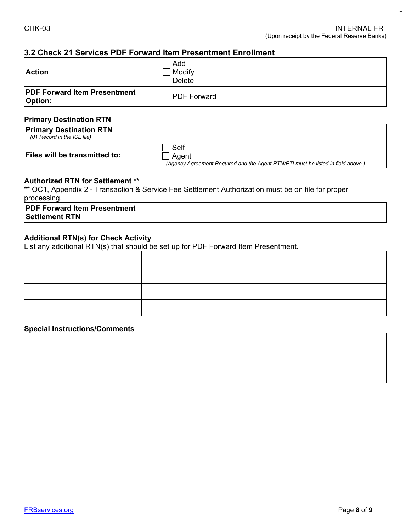#### **3.2 Check 21 Services PDF Forward Item Presentment Enrollment**

| <b>Action</b>                                         | Add<br>Modify<br>Delete |
|-------------------------------------------------------|-------------------------|
| <b>PDF Forward Item Presentment</b><br><b>Option:</b> | PDF Forward             |

#### **Primary Destination RTN**

| <b>Primary Destination RTN</b><br>(01 Record in the ICL file) |                                                                                                   |
|---------------------------------------------------------------|---------------------------------------------------------------------------------------------------|
| <b>Files will be transmitted to:</b>                          | Self<br>Agent<br>(Agency Agreement Required and the Agent RTN/ETI must be listed in field above.) |

#### **Authorized RTN for Settlement \*\***

\*\* OC1, Appendix 2 - Transaction & Service Fee Settlement Authorization must be on file for proper processing.

#### **Additional RTN(s) for Check Activity**

List any additional RTN(s) that should be set up for PDF Forward Item Presentment.

#### **Special Instructions/Comments**